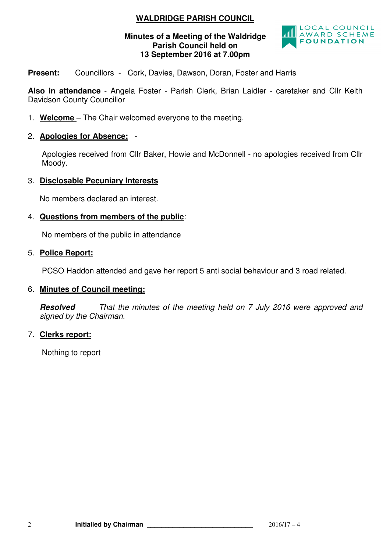# **WALDRIDGE PARISH COUNCIL**

#### **Minutes of a Meeting of the Waldridge Parish Council held on 13 September 2016 at 7.00pm**



**Present:** Councillors - Cork, Davies, Dawson, Doran, Foster and Harris

**Also in attendance** - Angela Foster - Parish Clerk, Brian Laidler - caretaker and Cllr Keith Davidson County Councillor

- 1. **Welcome**  The Chair welcomed everyone to the meeting.
- 2. **Apologies for Absence:** -

 Apologies received from Cllr Baker, Howie and McDonnell - no apologies received from Cllr Moody.

3. **Disclosable Pecuniary Interests**

No members declared an interest.

4. **Questions from members of the public**:

No members of the public in attendance

### 5. **Police Report:**

PCSO Haddon attended and gave her report 5 anti social behaviour and 3 road related.

#### 6. **Minutes of Council meeting:**

**Resolved** That the minutes of the meeting held on 7 July 2016 were approved and signed by the Chairman.

#### 7. **Clerks report:**

Nothing to report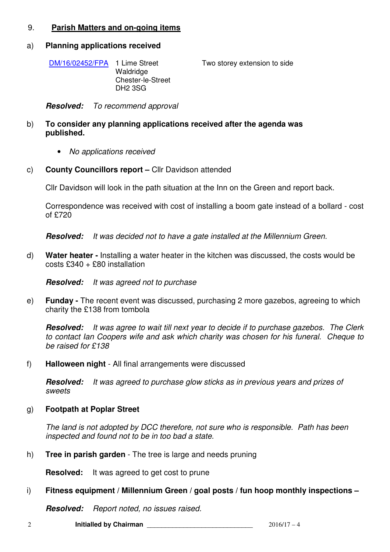## 9. **Parish Matters and on-going items**

#### a) **Planning applications received**

| DM/16/02452/FPA 1 Lime Street | Waldridge<br><b>Chester-le-Street</b> | Two storey extension to side |
|-------------------------------|---------------------------------------|------------------------------|
|                               | DH2 3SG                               |                              |

**Resolved:** To recommend approval

- b) **To consider any planning applications received after the agenda was published.** 
	- No applications received
- c) **County Councillors report** Cllr Davidson attended

Cllr Davidson will look in the path situation at the Inn on the Green and report back.

Correspondence was received with cost of installing a boom gate instead of a bollard - cost of £720

**Resolved:** It was decided not to have a gate installed at the Millennium Green.

d) **Water heater -** Installing a water heater in the kitchen was discussed, the costs would be costs  $£340 + £80$  installation

**Resolved:** It was agreed not to purchase

e) **Funday -** The recent event was discussed, purchasing 2 more gazebos, agreeing to which charity the £138 from tombola

**Resolved:** It was agree to wait till next year to decide if to purchase gazebos. The Clerk to contact Ian Coopers wife and ask which charity was chosen for his funeral. Cheque to be raised for £138

f) **Halloween night** - All final arrangements were discussed

**Resolved:** It was agreed to purchase glow sticks as in previous years and prizes of sweets

#### g) **Footpath at Poplar Street**

The land is not adopted by DCC therefore, not sure who is responsible. Path has been inspected and found not to be in too bad a state.

h) **Tree in parish garden** - The tree is large and needs pruning

**Resolved:** It was agreed to get cost to prune

#### i) **Fitness equipment / Millennium Green / goal posts / fun hoop monthly inspections –**

**Resolved:** Report noted, no issues raised.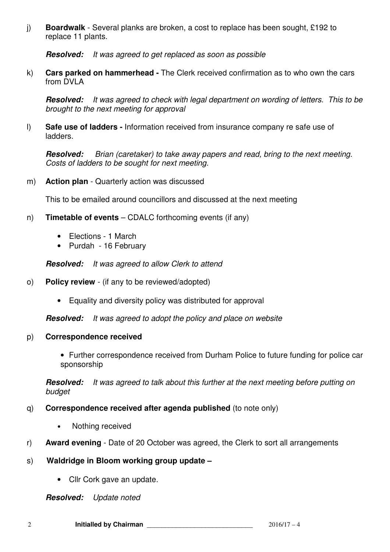j) **Boardwalk** - Several planks are broken, a cost to replace has been sought, £192 to replace 11 plants.

**Resolved:** It was agreed to get replaced as soon as possible

k) **Cars parked on hammerhead -** The Clerk received confirmation as to who own the cars from DVLA

**Resolved:** It was agreed to check with legal department on wording of letters. This to be brought to the next meeting for approval

l) **Safe use of ladders -** Information received from insurance company re safe use of ladders.

**Resolved:** Brian (caretaker) to take away papers and read, bring to the next meeting. Costs of ladders to be sought for next meeting.

m) **Action plan** - Quarterly action was discussed

This to be emailed around councillors and discussed at the next meeting

- n) **Timetable of events** CDALC forthcoming events (if any)
	- Elections 1 March
	- Purdah 16 February

**Resolved:** It was agreed to allow Clerk to attend

- o) **Policy review**  (if any to be reviewed/adopted)
	- Equality and diversity policy was distributed for approval

**Resolved:** It was agreed to adopt the policy and place on website

#### p) **Correspondence received**

• Further correspondence received from Durham Police to future funding for police car sponsorship

**Resolved:** It was agreed to talk about this further at the next meeting before putting on budget

- q) **Correspondence received after agenda published** (to note only)
	- Nothing received
- r) **Award evening**  Date of 20 October was agreed, the Clerk to sort all arrangements

## s) **Waldridge in Bloom working group update –**

• Cllr Cork gave an update.

**Resolved:** Update noted